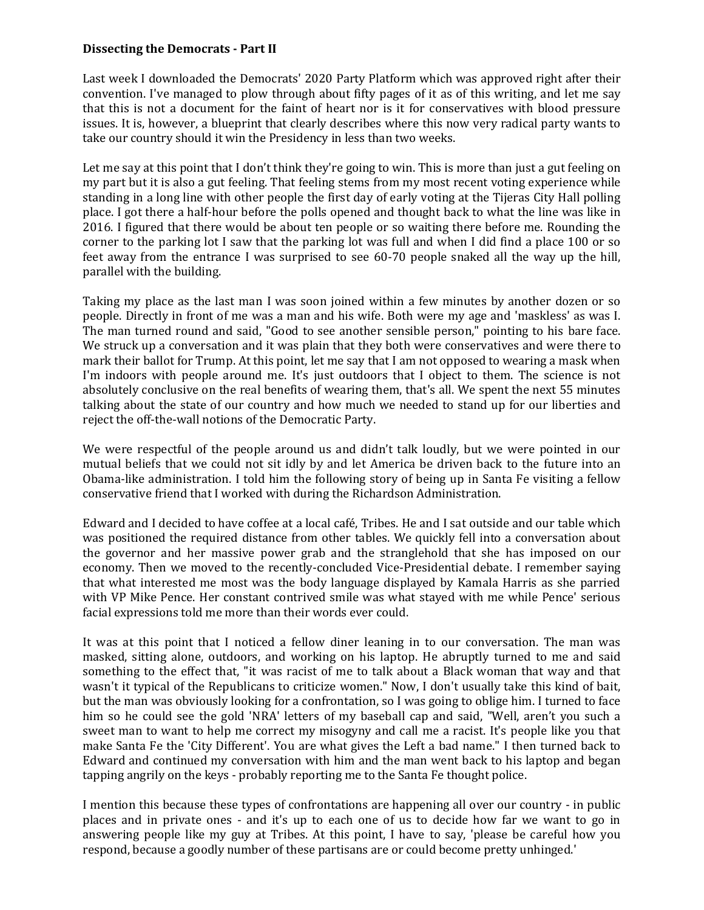## **Dissecting the Democrats - Part II**

Last week I downloaded the Democrats' 2020 Party Platform which was approved right after their convention. I've managed to plow through about fifty pages of it as of this writing, and let me say that this is not a document for the faint of heart nor is it for conservatives with blood pressure issues. It is, however, a blueprint that clearly describes where this now very radical party wants to take our country should it win the Presidency in less than two weeks.

Let me say at this point that I don't think they're going to win. This is more than just a gut feeling on my part but it is also a gut feeling. That feeling stems from my most recent voting experience while standing in a long line with other people the first day of early voting at the Tijeras City Hall polling place. I got there a half-hour before the polls opened and thought back to what the line was like in 2016. I figured that there would be about ten people or so waiting there before me. Rounding the corner to the parking lot I saw that the parking lot was full and when I did find a place 100 or so feet away from the entrance I was surprised to see 60-70 people snaked all the way up the hill, parallel with the building.

Taking my place as the last man I was soon joined within a few minutes by another dozen or so people. Directly in front of me was a man and his wife. Both were my age and 'maskless' as was I. The man turned round and said, "Good to see another sensible person," pointing to his bare face. We struck up a conversation and it was plain that they both were conservatives and were there to mark their ballot for Trump. At this point, let me say that I am not opposed to wearing a mask when I'm indoors with people around me. It's just outdoors that I object to them. The science is not absolutely conclusive on the real benefits of wearing them, that's all. We spent the next 55 minutes talking about the state of our country and how much we needed to stand up for our liberties and reject the off-the-wall notions of the Democratic Party.

We were respectful of the people around us and didn't talk loudly, but we were pointed in our mutual beliefs that we could not sit idly by and let America be driven back to the future into an Obama-like administration. I told him the following story of being up in Santa Fe visiting a fellow conservative friend that I worked with during the Richardson Administration.

Edward and I decided to have coffee at a local café, Tribes. He and I sat outside and our table which was positioned the required distance from other tables. We quickly fell into a conversation about the governor and her massive power grab and the stranglehold that she has imposed on our economy. Then we moved to the recently-concluded Vice-Presidential debate. I remember saying that what interested me most was the body language displayed by Kamala Harris as she parried with VP Mike Pence. Her constant contrived smile was what stayed with me while Pence' serious facial expressions told me more than their words ever could.

It was at this point that I noticed a fellow diner leaning in to our conversation. The man was masked, sitting alone, outdoors, and working on his laptop. He abruptly turned to me and said something to the effect that, "it was racist of me to talk about a Black woman that way and that wasn't it typical of the Republicans to criticize women." Now, I don't usually take this kind of bait, but the man was obviously looking for a confrontation, so I was going to oblige him. I turned to face him so he could see the gold 'NRA' letters of my baseball cap and said, "Well, aren't you such a sweet man to want to help me correct my misogyny and call me a racist. It's people like you that make Santa Fe the 'City Different'. You are what gives the Left a bad name." I then turned back to Edward and continued my conversation with him and the man went back to his laptop and began tapping angrily on the keys - probably reporting me to the Santa Fe thought police.

I mention this because these types of confrontations are happening all over our country - in public places and in private ones - and it's up to each one of us to decide how far we want to go in answering people like my guy at Tribes. At this point, I have to say, 'please be careful how you respond, because a goodly number of these partisans are or could become pretty unhinged.'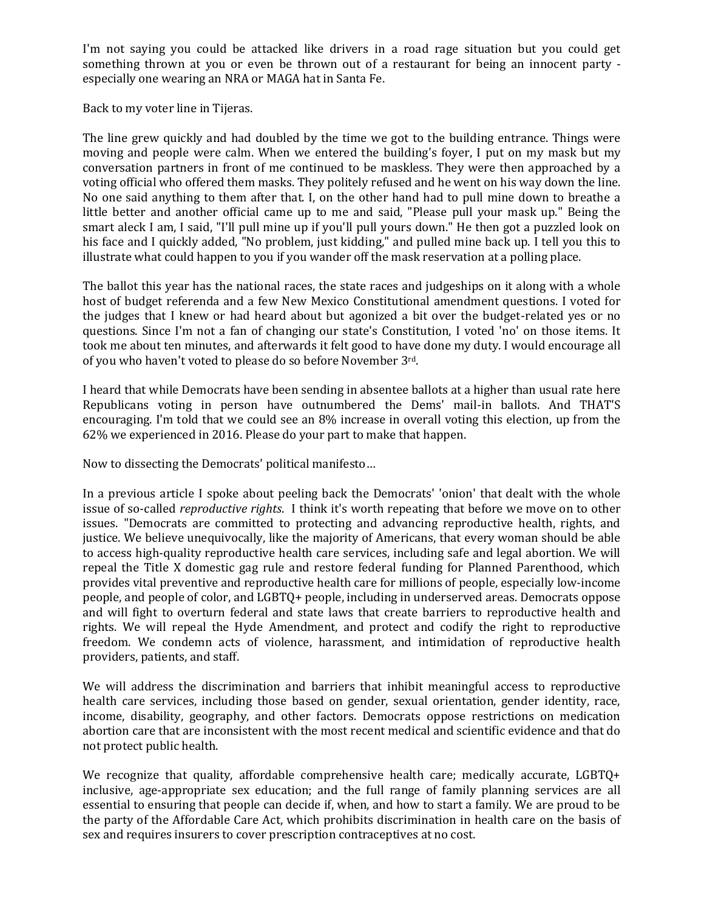I'm not saying you could be attacked like drivers in a road rage situation but you could get something thrown at you or even be thrown out of a restaurant for being an innocent party especially one wearing an NRA or MAGA hat in Santa Fe.

Back to my voter line in Tijeras.

The line grew quickly and had doubled by the time we got to the building entrance. Things were moving and people were calm. When we entered the building's foyer, I put on my mask but my conversation partners in front of me continued to be maskless. They were then approached by a voting official who offered them masks. They politely refused and he went on his way down the line. No one said anything to them after that. I, on the other hand had to pull mine down to breathe a little better and another official came up to me and said, "Please pull your mask up." Being the smart aleck I am, I said, "I'll pull mine up if you'll pull yours down." He then got a puzzled look on his face and I quickly added, "No problem, just kidding," and pulled mine back up. I tell you this to illustrate what could happen to you if you wander off the mask reservation at a polling place.

The ballot this year has the national races, the state races and judgeships on it along with a whole host of budget referenda and a few New Mexico Constitutional amendment questions. I voted for the judges that I knew or had heard about but agonized a bit over the budget-related yes or no questions. Since I'm not a fan of changing our state's Constitution, I voted 'no' on those items. It took me about ten minutes, and afterwards it felt good to have done my duty. I would encourage all of you who haven't voted to please do so before November 3rd.

I heard that while Democrats have been sending in absentee ballots at a higher than usual rate here Republicans voting in person have outnumbered the Dems' mail-in ballots. And THAT'S encouraging. I'm told that we could see an 8% increase in overall voting this election, up from the 62% we experienced in 2016. Please do your part to make that happen.

Now to dissecting the Democrats' political manifesto…

In a previous article I spoke about peeling back the Democrats' 'onion' that dealt with the whole issue of so-called *reproductive rights*. I think it's worth repeating that before we move on to other issues. "Democrats are committed to protecting and advancing reproductive health, rights, and justice. We believe unequivocally, like the majority of Americans, that every woman should be able to access high-quality reproductive health care services, including safe and legal abortion. We will repeal the Title X domestic gag rule and restore federal funding for Planned Parenthood, which provides vital preventive and reproductive health care for millions of people, especially low-income people, and people of color, and LGBTQ+ people, including in underserved areas. Democrats oppose and will fight to overturn federal and state laws that create barriers to reproductive health and rights. We will repeal the Hyde Amendment, and protect and codify the right to reproductive freedom. We condemn acts of violence, harassment, and intimidation of reproductive health providers, patients, and staff.

We will address the discrimination and barriers that inhibit meaningful access to reproductive health care services, including those based on gender, sexual orientation, gender identity, race, income, disability, geography, and other factors. Democrats oppose restrictions on medication abortion care that are inconsistent with the most recent medical and scientific evidence and that do not protect public health.

We recognize that quality, affordable comprehensive health care; medically accurate, LGBTQ+ inclusive, age-appropriate sex education; and the full range of family planning services are all essential to ensuring that people can decide if, when, and how to start a family. We are proud to be the party of the Affordable Care Act, which prohibits discrimination in health care on the basis of sex and requires insurers to cover prescription contraceptives at no cost.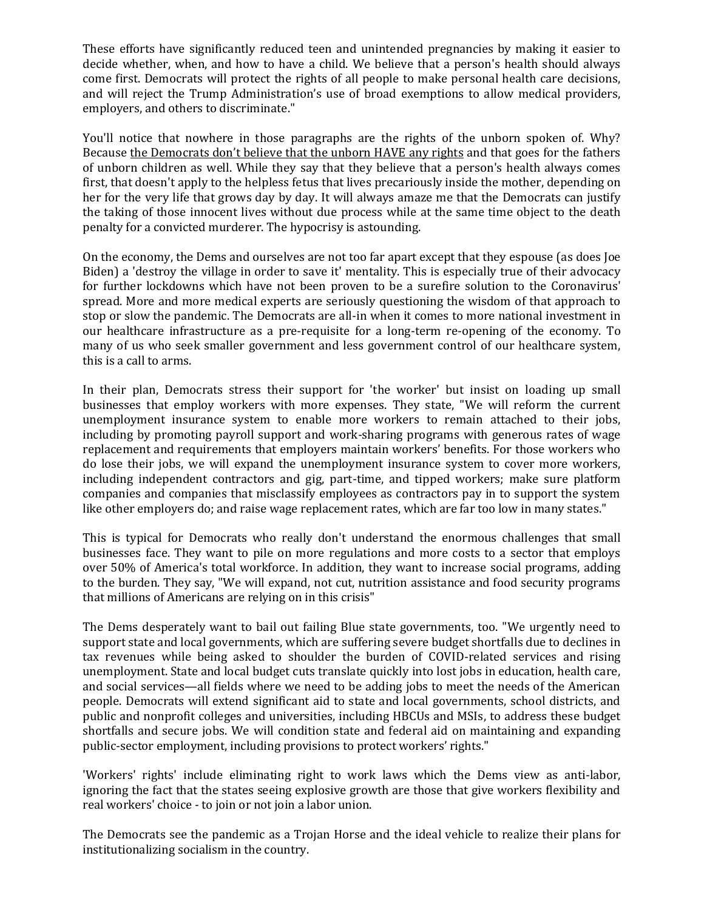These efforts have significantly reduced teen and unintended pregnancies by making it easier to decide whether, when, and how to have a child. We believe that a person's health should always come first. Democrats will protect the rights of all people to make personal health care decisions, and will reject the Trump Administration's use of broad exemptions to allow medical providers, employers, and others to discriminate."

You'll notice that nowhere in those paragraphs are the rights of the unborn spoken of. Why? Because the Democrats don't believe that the unborn HAVE any rights and that goes for the fathers of unborn children as well. While they say that they believe that a person's health always comes first, that doesn't apply to the helpless fetus that lives precariously inside the mother, depending on her for the very life that grows day by day. It will always amaze me that the Democrats can justify the taking of those innocent lives without due process while at the same time object to the death penalty for a convicted murderer. The hypocrisy is astounding.

On the economy, the Dems and ourselves are not too far apart except that they espouse (as does Joe Biden) a 'destroy the village in order to save it' mentality. This is especially true of their advocacy for further lockdowns which have not been proven to be a surefire solution to the Coronavirus' spread. More and more medical experts are seriously questioning the wisdom of that approach to stop or slow the pandemic. The Democrats are all-in when it comes to more national investment in our healthcare infrastructure as a pre-requisite for a long-term re-opening of the economy. To many of us who seek smaller government and less government control of our healthcare system, this is a call to arms.

In their plan, Democrats stress their support for 'the worker' but insist on loading up small businesses that employ workers with more expenses. They state, "We will reform the current unemployment insurance system to enable more workers to remain attached to their jobs, including by promoting payroll support and work-sharing programs with generous rates of wage replacement and requirements that employers maintain workers' benefits. For those workers who do lose their jobs, we will expand the unemployment insurance system to cover more workers, including independent contractors and gig, part-time, and tipped workers; make sure platform companies and companies that misclassify employees as contractors pay in to support the system like other employers do; and raise wage replacement rates, which are far too low in many states."

This is typical for Democrats who really don't understand the enormous challenges that small businesses face. They want to pile on more regulations and more costs to a sector that employs over 50% of America's total workforce. In addition, they want to increase social programs, adding to the burden. They say, "We will expand, not cut, nutrition assistance and food security programs that millions of Americans are relying on in this crisis"

The Dems desperately want to bail out failing Blue state governments, too. "We urgently need to support state and local governments, which are suffering severe budget shortfalls due to declines in tax revenues while being asked to shoulder the burden of COVID-related services and rising unemployment. State and local budget cuts translate quickly into lost jobs in education, health care, and social services—all fields where we need to be adding jobs to meet the needs of the American people. Democrats will extend significant aid to state and local governments, school districts, and public and nonprofit colleges and universities, including HBCUs and MSIs, to address these budget shortfalls and secure jobs. We will condition state and federal aid on maintaining and expanding public-sector employment, including provisions to protect workers' rights."

'Workers' rights' include eliminating right to work laws which the Dems view as anti-labor, ignoring the fact that the states seeing explosive growth are those that give workers flexibility and real workers' choice - to join or not join a labor union.

The Democrats see the pandemic as a Trojan Horse and the ideal vehicle to realize their plans for institutionalizing socialism in the country.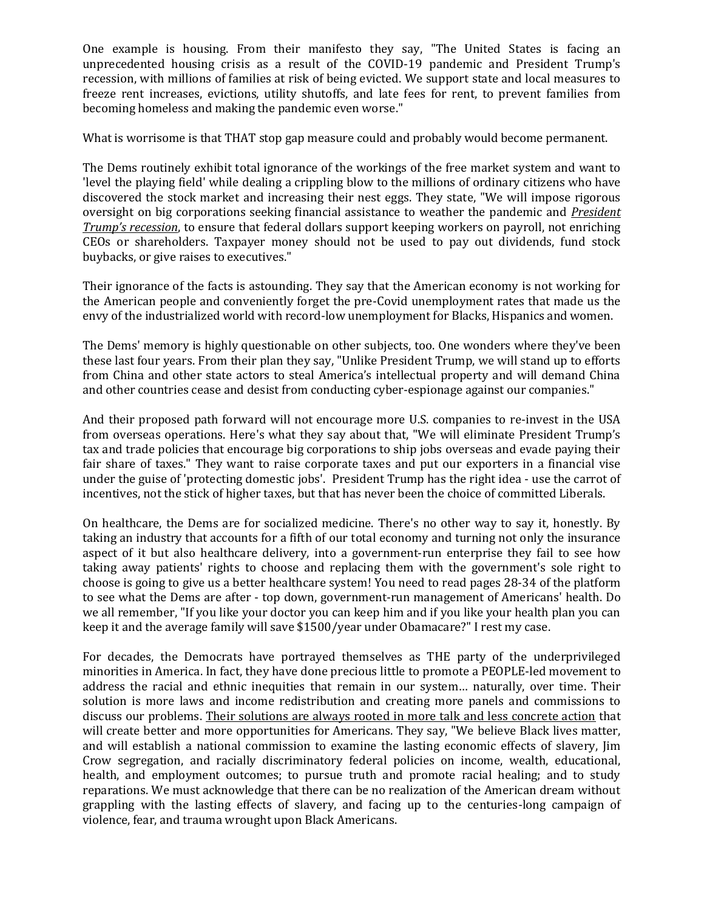One example is housing. From their manifesto they say, "The United States is facing an unprecedented housing crisis as a result of the COVID-19 pandemic and President Trump's recession, with millions of families at risk of being evicted. We support state and local measures to freeze rent increases, evictions, utility shutoffs, and late fees for rent, to prevent families from becoming homeless and making the pandemic even worse."

What is worrisome is that THAT stop gap measure could and probably would become permanent.

The Dems routinely exhibit total ignorance of the workings of the free market system and want to 'level the playing field' while dealing a crippling blow to the millions of ordinary citizens who have discovered the stock market and increasing their nest eggs. They state, "We will impose rigorous oversight on big corporations seeking financial assistance to weather the pandemic and *President Trump's recession*, to ensure that federal dollars support keeping workers on payroll, not enriching CEOs or shareholders. Taxpayer money should not be used to pay out dividends, fund stock buybacks, or give raises to executives."

Their ignorance of the facts is astounding. They say that the American economy is not working for the American people and conveniently forget the pre-Covid unemployment rates that made us the envy of the industrialized world with record-low unemployment for Blacks, Hispanics and women.

The Dems' memory is highly questionable on other subjects, too. One wonders where they've been these last four years. From their plan they say, "Unlike President Trump, we will stand up to efforts from China and other state actors to steal America's intellectual property and will demand China and other countries cease and desist from conducting cyber-espionage against our companies."

And their proposed path forward will not encourage more U.S. companies to re-invest in the USA from overseas operations. Here's what they say about that, "We will eliminate President Trump's tax and trade policies that encourage big corporations to ship jobs overseas and evade paying their fair share of taxes." They want to raise corporate taxes and put our exporters in a financial vise under the guise of 'protecting domestic jobs'. President Trump has the right idea - use the carrot of incentives, not the stick of higher taxes, but that has never been the choice of committed Liberals.

On healthcare, the Dems are for socialized medicine. There's no other way to say it, honestly. By taking an industry that accounts for a fifth of our total economy and turning not only the insurance aspect of it but also healthcare delivery, into a government-run enterprise they fail to see how taking away patients' rights to choose and replacing them with the government's sole right to choose is going to give us a better healthcare system! You need to read pages 28-34 of the platform to see what the Dems are after - top down, government-run management of Americans' health. Do we all remember, "If you like your doctor you can keep him and if you like your health plan you can keep it and the average family will save \$1500/year under Obamacare?" I rest my case.

For decades, the Democrats have portrayed themselves as THE party of the underprivileged minorities in America. In fact, they have done precious little to promote a PEOPLE-led movement to address the racial and ethnic inequities that remain in our system… naturally, over time. Their solution is more laws and income redistribution and creating more panels and commissions to discuss our problems. Their solutions are always rooted in more talk and less concrete action that will create better and more opportunities for Americans. They say, "We believe Black lives matter, and will establish a national commission to examine the lasting economic effects of slavery, Jim Crow segregation, and racially discriminatory federal policies on income, wealth, educational, health, and employment outcomes; to pursue truth and promote racial healing; and to study reparations. We must acknowledge that there can be no realization of the American dream without grappling with the lasting effects of slavery, and facing up to the centuries-long campaign of violence, fear, and trauma wrought upon Black Americans.